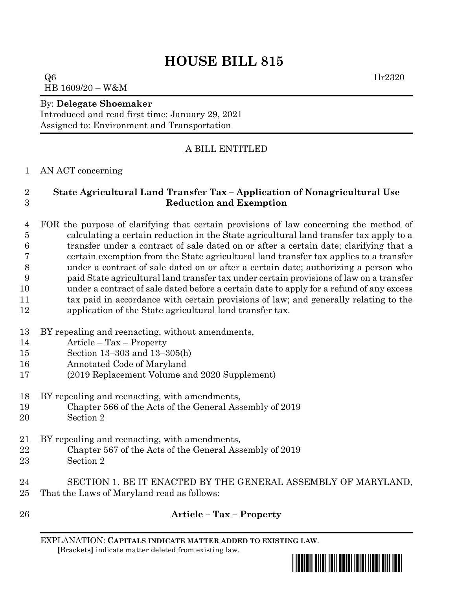# **HOUSE BILL 815**

 $Q6$  1lr2320 HB 1609/20 – W&M

#### By: **Delegate Shoemaker**

Introduced and read first time: January 29, 2021 Assigned to: Environment and Transportation

# A BILL ENTITLED

### AN ACT concerning

# **State Agricultural Land Transfer Tax – Application of Nonagricultural Use Reduction and Exemption**

 FOR the purpose of clarifying that certain provisions of law concerning the method of calculating a certain reduction in the State agricultural land transfer tax apply to a transfer under a contract of sale dated on or after a certain date; clarifying that a certain exemption from the State agricultural land transfer tax applies to a transfer under a contract of sale dated on or after a certain date; authorizing a person who paid State agricultural land transfer tax under certain provisions of law on a transfer under a contract of sale dated before a certain date to apply for a refund of any excess tax paid in accordance with certain provisions of law; and generally relating to the

- application of the State agricultural land transfer tax.
- BY repealing and reenacting, without amendments,
- Article Tax Property
- Section 13–303 and 13–305(h)
- Annotated Code of Maryland
- (2019 Replacement Volume and 2020 Supplement)
- BY repealing and reenacting, with amendments,
- Chapter 566 of the Acts of the General Assembly of 2019
- Section 2
- BY repealing and reenacting, with amendments,
- Chapter 567 of the Acts of the General Assembly of 2019
- Section 2
- SECTION 1. BE IT ENACTED BY THE GENERAL ASSEMBLY OF MARYLAND, That the Laws of Maryland read as follows:
- 

# **Article – Tax – Property**

EXPLANATION: **CAPITALS INDICATE MATTER ADDED TO EXISTING LAW**.  **[**Brackets**]** indicate matter deleted from existing law.

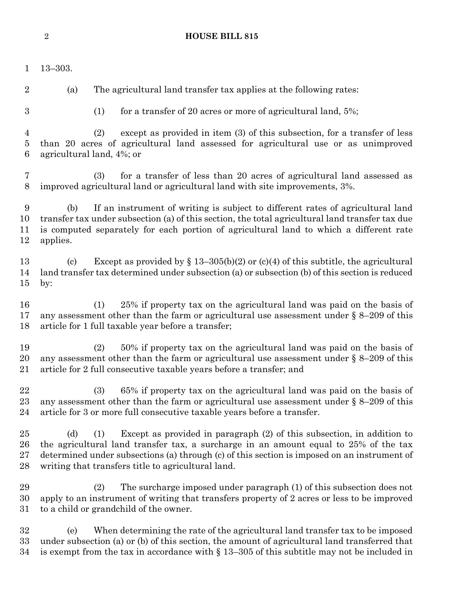#### **HOUSE BILL 815**

 13–303. (a) The agricultural land transfer tax applies at the following rates: (1) for a transfer of 20 acres or more of agricultural land, 5%; (2) except as provided in item (3) of this subsection, for a transfer of less than 20 acres of agricultural land assessed for agricultural use or as unimproved agricultural land, 4%; or (3) for a transfer of less than 20 acres of agricultural land assessed as improved agricultural land or agricultural land with site improvements, 3%. (b) If an instrument of writing is subject to different rates of agricultural land transfer tax under subsection (a) of this section, the total agricultural land transfer tax due is computed separately for each portion of agricultural land to which a different rate applies. 13 (c) Except as provided by  $\S 13-305(b)(2)$  or (c)(4) of this subtitle, the agricultural land transfer tax determined under subsection (a) or subsection (b) of this section is reduced by: (1) 25% if property tax on the agricultural land was paid on the basis of any assessment other than the farm or agricultural use assessment under § 8–209 of this article for 1 full taxable year before a transfer; (2) 50% if property tax on the agricultural land was paid on the basis of 20 any assessment other than the farm or agricultural use assessment under  $\S 8-209$  of this article for 2 full consecutive taxable years before a transfer; and (3) 65% if property tax on the agricultural land was paid on the basis of any assessment other than the farm or agricultural use assessment under § 8–209 of this article for 3 or more full consecutive taxable years before a transfer. (d) (1) Except as provided in paragraph (2) of this subsection, in addition to the agricultural land transfer tax, a surcharge in an amount equal to 25% of the tax determined under subsections (a) through (c) of this section is imposed on an instrument of writing that transfers title to agricultural land. (2) The surcharge imposed under paragraph (1) of this subsection does not apply to an instrument of writing that transfers property of 2 acres or less to be improved to a child or grandchild of the owner. (e) When determining the rate of the agricultural land transfer tax to be imposed under subsection (a) or (b) of this section, the amount of agricultural land transferred that 34 is exempt from the tax in accordance with  $\S$  13–305 of this subtitle may not be included in